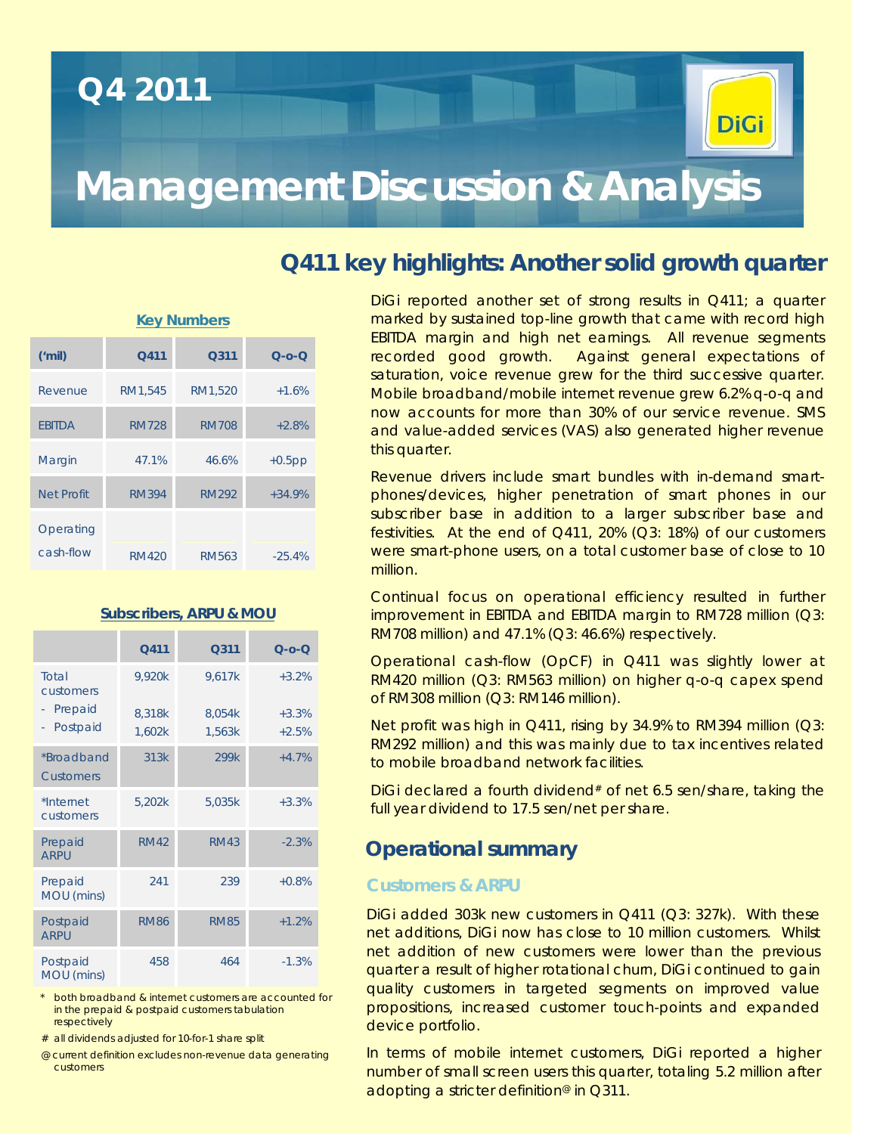## **Q4 2011**



# **Management Discussion & Analysis**

### **Q411 key highlights: Another solid growth quarter**

| <b>Key Numbers</b>     |              |              |                 |  |  |  |  |
|------------------------|--------------|--------------|-----------------|--|--|--|--|
| ('mil)                 | Q411         | Q311         | $Q$ - $Q$ - $Q$ |  |  |  |  |
| Revenue                | RM1,545      | RM1,520      | $+1.6%$         |  |  |  |  |
| <b>FBITDA</b>          | <b>RM728</b> | <b>RM708</b> | $+2.8%$         |  |  |  |  |
| Margin                 | 47.1%        | 46.6%        | $+0.5$ pp       |  |  |  |  |
| <b>Net Profit</b>      | <b>RM394</b> | <b>RM292</b> | $+34.9%$        |  |  |  |  |
| Operating<br>cash-flow | RM420        | RM563        | $-25.4%$        |  |  |  |  |

|                                                 | Q411                       | Q311                       | $Q$ - $O$ - $Q$               |
|-------------------------------------------------|----------------------------|----------------------------|-------------------------------|
| Total<br>customers<br>Prepaid<br>Postpaid<br>÷, | 9,920k<br>8,318k<br>1,602k | 9,617k<br>8,054k<br>1,563k | $+3.2%$<br>$+3.3%$<br>$+2.5%$ |
| *Broadband<br><b>Customers</b>                  | 313k                       | 299k                       | $+4.7%$                       |
| *Internet<br>customers                          | 5,202k                     | 5,035k                     | $+3.3%$                       |
| Prepaid<br><b>ARPU</b>                          | <b>RM42</b>                | <b>RM43</b>                | $-2.3%$                       |
| Prepaid<br>MOU (mins)                           | 241                        | 239                        | $+0.8%$                       |
| Postpaid<br><b>ARPU</b>                         | <b>RM86</b>                | <b>RM85</b>                | $+1.2%$                       |
| Postpaid<br>MOU (mins)                          | 458                        | 464                        | $-1.3%$                       |

**Subscribers, ARPU & MOU**

\* *both broadband & internet customers are accounted for in the prepaid & postpaid customers tabulation respectively*

*# all dividends adjusted for 10-for-1 share split*

*@ current definition excludes non-revenue data generating customers*

DiGi reported another set of strong results in Q411; a quarter marked by sustained top-line growth that came with record high EBITDA margin and high net earnings. All revenue segments recorded good growth. Against general expectations of saturation, voice revenue grew for the third successive quarter. Mobile broadband/mobile internet revenue grew 6.2% q-o-q and now accounts for more than 30% of our service revenue. SMS and value-added services (VAS) also generated higher revenue this quarter.

Revenue drivers include smart bundles with in-demand smartphones/devices, higher penetration of smart phones in our subscriber base in addition to a larger subscriber base and festivities. At the end of Q411, 20% (Q3: 18%) of our customers were smart-phone users, on a total customer base of close to 10 million.

Continual focus on operational efficiency resulted in further improvement in EBITDA and EBITDA margin to RM728 million (Q3: RM708 million) and 47.1% (Q3: 46.6%) respectively.

Operational cash-flow (OpCF) in Q411 was slightly lower at RM420 million (Q3: RM563 million) on higher q-o-q capex spend of RM308 million (Q3: RM146 million).

Net profit was high in Q411, rising by 34.9% to RM394 million (Q3: RM292 million) and this was mainly due to tax incentives related to mobile broadband network facilities.

DiGi declared a fourth dividend<sup>#</sup> of net 6.5 sen/share, taking the full year dividend to 17.5 sen/net per share.

#### **Operational summary**

#### **Customers & ARPU**

DiGi added 303k new customers in Q411 (Q3: 327k). With these net additions, DiGi now has close to 10 million customers. Whilst net addition of new customers were lower than the previous quarter a result of higher rotational churn, DiGi continued to gain quality customers in targeted segments on improved value propositions, increased customer touch-points and expanded device portfolio.

In terms of mobile internet customers, DiGi reported a higher number of small screen users this quarter, totaling 5.2 million after adopting a stricter definition<sup>®</sup> in Q311.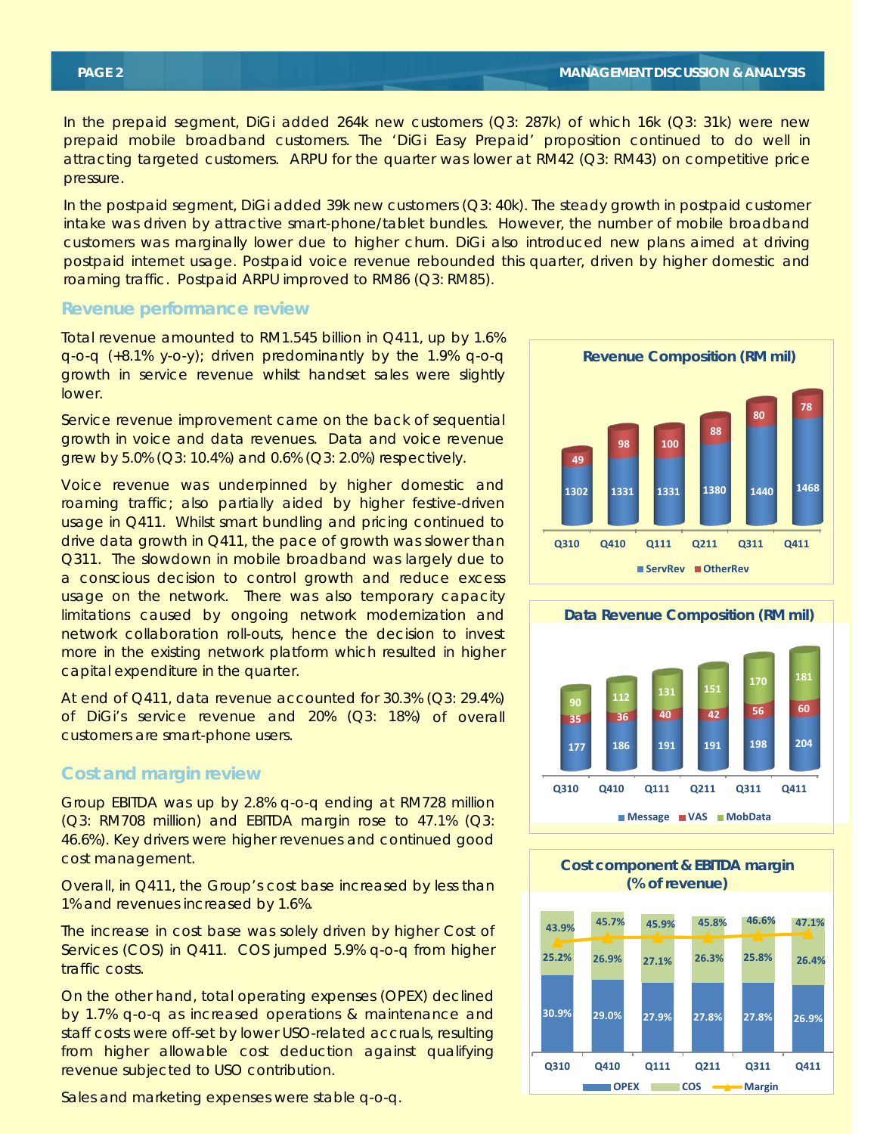In the prepaid segment, DiGi added 264k new customers (Q3: 287k) of which 16k (Q3: 31k) were new prepaid mobile broadband customers. The 'DiGi Easy Prepaid' proposition continued to do well in attracting targeted customers. ARPU for the quarter was lower at RM42 (Q3: RM43) on competitive price pressure.

In the postpaid segment, DiGi added 39k new customers (Q3: 40k). The steady growth in postpaid customer intake was driven by attractive smart-phone/tablet bundles. However, the number of mobile broadband customers was marginally lower due to higher churn. DiGi also introduced new plans aimed at driving postpaid internet usage. Postpaid voice revenue rebounded this quarter, driven by higher domestic and roaming traffic. Postpaid ARPU improved to RM86 (Q3: RM85).

#### **Revenue performance review**

Total revenue amounted to RM1.545 billion in Q411, up by 1.6% q-o-q (+8.1% y-o-y); driven predominantly by the 1.9% q-o-q growth in service revenue whilst handset sales were slightly lower.

Service revenue improvement came on the back of sequential growth in voice and data revenues. Data and voice revenue grew by 5.0% (Q3: 10.4%) and 0.6% (Q3: 2.0%) respectively.

Voice revenue was underpinned by higher domestic and roaming traffic; also partially aided by higher festive-driven usage in Q411. Whilst smart bundling and pricing continued to drive data growth in Q411, the pace of growth was slower than Q311. The slowdown in mobile broadband was largely due to a conscious decision to control growth and reduce excess usage on the network. There was also temporary capacity limitations caused by ongoing network modernization and network collaboration roll-outs, hence the decision to invest more in the existing network platform which resulted in higher capital expenditure in the quarter.

At end of Q411, data revenue accounted for 30.3% (Q3: 29.4%) of DiGi's service revenue and 20% (Q3: 18%) of overall customers are smart-phone users.

#### **Cost and margin review**

Group EBITDA was up by 2.8% q-o-q ending at RM728 million (Q3: RM708 million) and EBITDA margin rose to 47.1% (Q3: 46.6%). Key drivers were higher revenues and continued good cost management.

Overall, in Q411, the Group's cost base increased by less than 1% and revenues increased by 1.6%.

The increase in cost base was solely driven by higher Cost of Services (COS) in Q411. COS jumped 5.9% q-o-q from higher traffic costs.

On the other hand, total operating expenses (OPEX) declined by 1.7% q-o-q as increased operations & maintenance and staff costs were off-set by lower USO-related accruals, resulting from higher allowable cost deduction against qualifying revenue subjected to USO contribution.

Sales and marketing expenses were stable q-o-q.







**Cost component & EBITDA margin**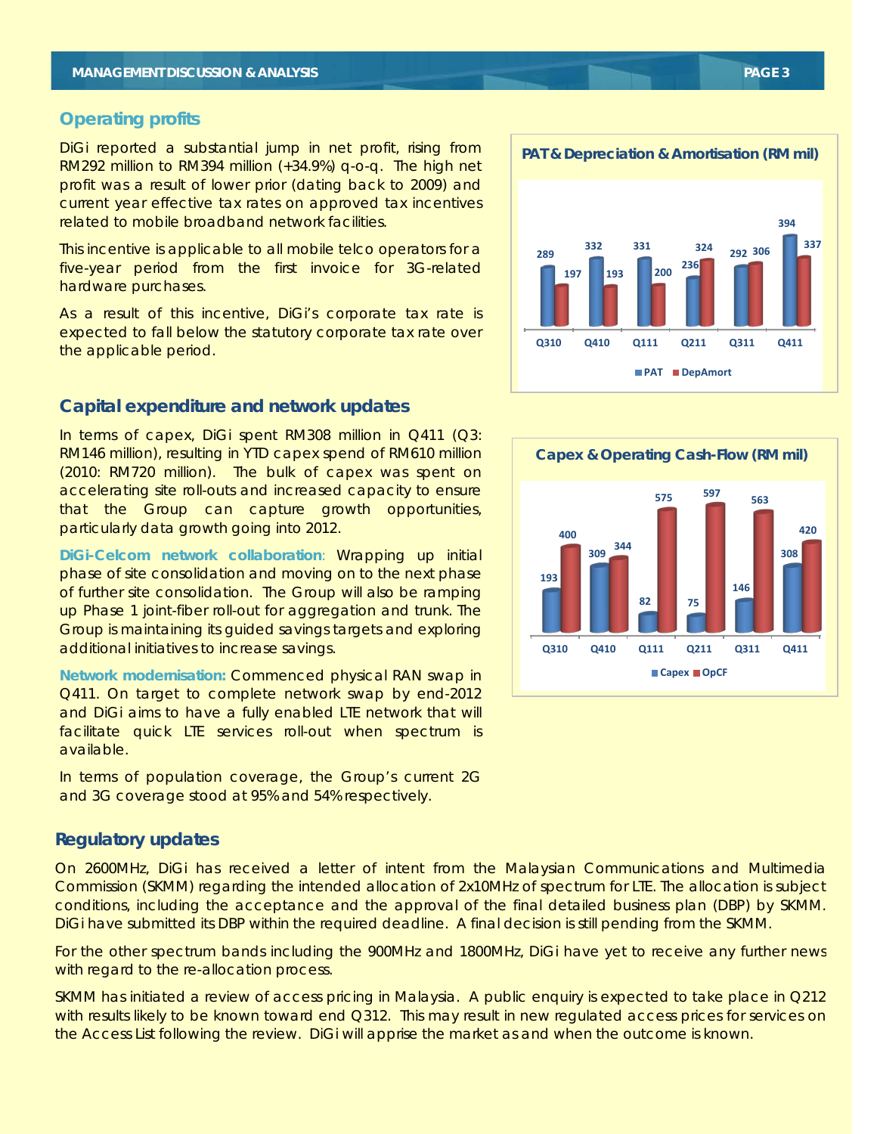#### **Operating profits**

DiGi reported a substantial jump in net profit, rising from RM292 million to RM394 million (+34.9%) q-o-q. The high net profit was a result of lower prior (dating back to 2009) and current year effective tax rates on approved tax incentives related to mobile broadband network facilities.

This incentive is applicable to all mobile telco operators for a five-year period from the first invoice for 3G-related hardware purchases.

As a result of this incentive, DiGi's corporate tax rate is expected to fall below the statutory corporate tax rate over the applicable period.

#### **Capital expenditure and network updates**

In terms of capex, DiGi spent RM308 million in Q411 (Q3: RM146 million), resulting in YTD capex spend of RM610 million (2010: RM720 million). The bulk of capex was spent on accelerating site roll-outs and increased capacity to ensure that the Group can capture growth opportunities, particularly data growth going into 2012.

**DiGi-Celcom network collaboration**: Wrapping up initial phase of site consolidation and moving on to the next phase of further site consolidation. The Group will also be ramping up Phase 1 joint-fiber roll-out for aggregation and trunk. The Group is maintaining its guided savings targets and exploring additional initiatives to increase savings.

**Network modernisation:** Commenced physical RAN swap in Q411. On target to complete network swap by end-2012 and DiGi aims to have a fully enabled LTE network that will facilitate quick LTE services roll-out when spectrum is available.

In terms of population coverage, the Group's current 2G and 3G coverage stood at 95% and 54% respectively.

#### **Regulatory updates**

On 2600MHz, DiGi has received a letter of intent from the Malaysian Communications and Multimedia Commission (SKMM) regarding the intended allocation of 2x10MHz of spectrum for LTE. The allocation is subject conditions, including the acceptance and the approval of the final detailed business plan (DBP) by SKMM. DiGi have submitted its DBP within the required deadline. A final decision is still pending from the SKMM.

For the other spectrum bands including the 900MHz and 1800MHz, DiGi have yet to receive any further news with regard to the re-allocation process.

SKMM has initiated a review of access pricing in Malaysia. A public enquiry is expected to take place in Q212 with results likely to be known toward end Q312. This may result in new regulated access prices for services on the Access List following the review. DiGi will apprise the market as and when the outcome is known.